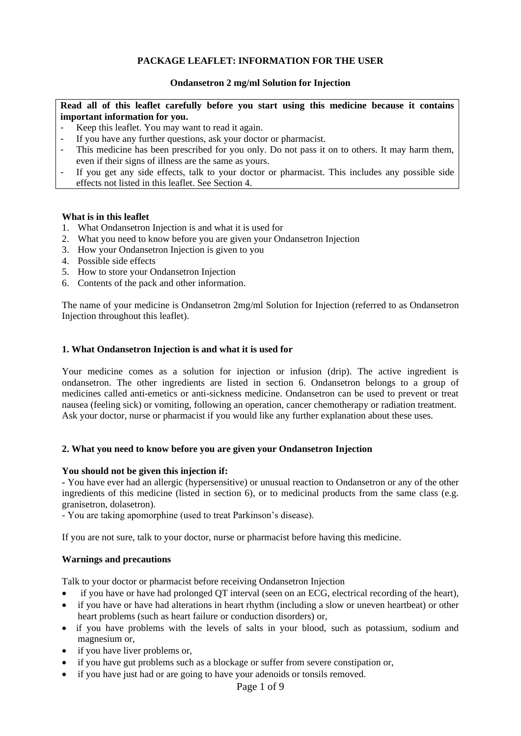## **PACKAGE LEAFLET: INFORMATION FOR THE USER**

### **Ondansetron 2 mg/ml Solution for Injection**

**Read all of this leaflet carefully before you start using this medicine because it contains important information for you.**

- Keep this leaflet. You may want to read it again.
- If you have any further questions, ask your doctor or pharmacist.
- This medicine has been prescribed for you only. Do not pass it on to others. It may harm them, even if their signs of illness are the same as yours.
- If you get any side effects, talk to your doctor or pharmacist. This includes any possible side effects not listed in this leaflet. See Section 4.

#### **What is in this leaflet**

- 1. What Ondansetron Injection is and what it is used for
- 2. What you need to know before you are given your Ondansetron Injection
- 3. How your Ondansetron Injection is given to you
- 4. Possible side effects
- 5. How to store your Ondansetron Injection
- 6. Contents of the pack and other information.

The name of your medicine is Ondansetron 2mg/ml Solution for Injection (referred to as Ondansetron Injection throughout this leaflet).

#### **1. What Ondansetron Injection is and what it is used for**

Your medicine comes as a solution for injection or infusion (drip). The active ingredient is ondansetron. The other ingredients are listed in section 6. Ondansetron belongs to a group of medicines called anti-emetics or anti-sickness medicine. Ondansetron can be used to prevent or treat nausea (feeling sick) or vomiting, following an operation, cancer chemotherapy or radiation treatment. Ask your doctor, nurse or pharmacist if you would like any further explanation about these uses.

#### **2. What you need to know before you are given your Ondansetron Injection**

#### **You should not be given this injection if:**

**-** You have ever had an allergic (hypersensitive) or unusual reaction to Ondansetron or any of the other ingredients of this medicine (listed in section 6), or to medicinal products from the same class (e.g. granisetron, dolasetron).

- You are taking apomorphine (used to treat Parkinson's disease).

If you are not sure, talk to your doctor, nurse or pharmacist before having this medicine.

#### **Warnings and precautions**

Talk to your doctor or pharmacist before receiving Ondansetron Injection

- if you have or have had prolonged OT interval (seen on an ECG, electrical recording of the heart),
- if you have or have had alterations in heart rhythm (including a slow or uneven heartbeat) or other heart problems (such as heart failure or conduction disorders) or,
- if you have problems with the levels of salts in your blood, such as potassium, sodium and magnesium or,
- if you have liver problems or,
- if you have gut problems such as a blockage or suffer from severe constipation or,
- if you have just had or are going to have your adenoids or tonsils removed.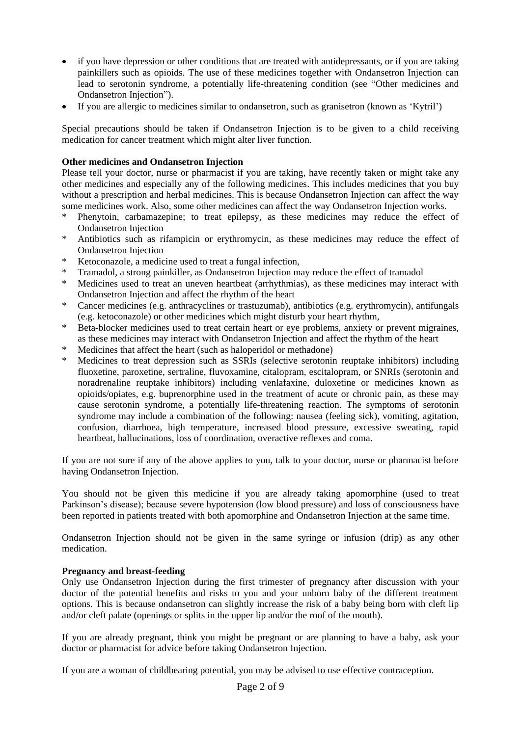- if you have depression or other conditions that are treated with antidepressants, or if you are taking painkillers such as opioids. The use of these medicines together with Ondansetron Injection can lead to serotonin syndrome, a potentially life-threatening condition (see "Other medicines and Ondansetron Injection").
- If you are allergic to medicines similar to ondansetron, such as granisetron (known as 'Kytril')

Special precautions should be taken if Ondansetron Injection is to be given to a child receiving medication for cancer treatment which might alter liver function.

## **Other medicines and Ondansetron Injection**

Please tell your doctor, nurse or pharmacist if you are taking, have recently taken or might take any other medicines and especially any of the following medicines. This includes medicines that you buy without a prescription and herbal medicines. This is because Ondansetron Injection can affect the way some medicines work. Also, some other medicines can affect the way Ondansetron Injection works.

- Phenytoin, carbamazepine; to treat epilepsy, as these medicines may reduce the effect of Ondansetron Injection
- \* Antibiotics such as rifampicin or erythromycin, as these medicines may reduce the effect of Ondansetron Injection
- Ketoconazole, a medicine used to treat a fungal infection,
- \* Tramadol, a strong painkiller, as Ondansetron Injection may reduce the effect of tramadol
- Medicines used to treat an uneven heartbeat (arrhythmias), as these medicines may interact with Ondansetron Injection and affect the rhythm of the heart
- \* Cancer medicines (e.g. anthracyclines or trastuzumab), antibiotics (e.g. erythromycin), antifungals (e.g. ketoconazole) or other medicines which might disturb your heart rhythm,
- \* Beta-blocker medicines used to treat certain heart or eye problems, anxiety or prevent migraines, as these medicines may interact with Ondansetron Injection and affect the rhythm of the heart
- \* Medicines that affect the heart (such as haloperidol or methadone)<br>Nodicines to treat depression such as SSBIs (selective constants)
- Medicines to treat depression such as SSRIs (selective serotonin reuptake inhibitors) including fluoxetine, paroxetine, sertraline, fluvoxamine, citalopram, escitalopram, or SNRIs (serotonin and noradrenaline reuptake inhibitors) including venlafaxine, duloxetine or medicines known as opioids/opiates, e.g. buprenorphine used in the treatment of acute or chronic pain, as these may cause serotonin syndrome, a potentially life-threatening reaction. The symptoms of serotonin syndrome may include a combination of the following: nausea (feeling sick), vomiting, agitation, confusion, diarrhoea, high temperature, increased blood pressure, excessive sweating, rapid heartbeat, hallucinations, loss of coordination, overactive reflexes and coma.

If you are not sure if any of the above applies to you, talk to your doctor, nurse or pharmacist before having Ondansetron Injection.

You should not be given this medicine if you are already taking apomorphine (used to treat Parkinson's disease); because severe hypotension (low blood pressure) and loss of consciousness have been reported in patients treated with both apomorphine and Ondansetron Injection at the same time.

Ondansetron Injection should not be given in the same syringe or infusion (drip) as any other medication.

#### **Pregnancy and breast-feeding**

Only use Ondansetron Injection during the first trimester of pregnancy after discussion with your doctor of the potential benefits and risks to you and your unborn baby of the different treatment options. This is because ondansetron can slightly increase the risk of a baby being born with cleft lip and/or cleft palate (openings or splits in the upper lip and/or the roof of the mouth).

If you are already pregnant, think you might be pregnant or are planning to have a baby, ask your doctor or pharmacist for advice before taking Ondansetron Injection.

If you are a woman of childbearing potential, you may be advised to use effective contraception.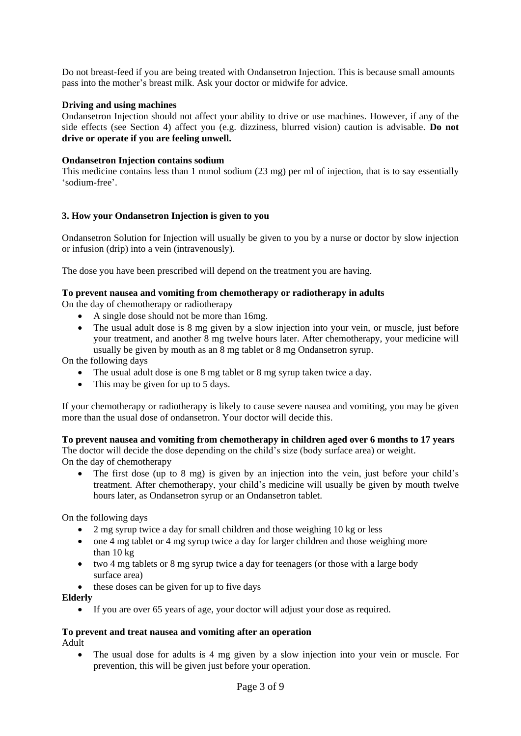Do not breast-feed if you are being treated with Ondansetron Injection. This is because small amounts pass into the mother's breast milk. Ask your doctor or midwife for advice.

## **Driving and using machines**

Ondansetron Injection should not affect your ability to drive or use machines. However, if any of the side effects (see Section 4) affect you (e.g. dizziness, blurred vision) caution is advisable. **Do not drive or operate if you are feeling unwell.**

### **Ondansetron Injection contains sodium**

This medicine contains less than 1 mmol sodium (23 mg) per ml of injection, that is to say essentially 'sodium-free'.

## **3. How your Ondansetron Injection is given to you**

Ondansetron Solution for Injection will usually be given to you by a nurse or doctor by slow injection or infusion (drip) into a vein (intravenously).

The dose you have been prescribed will depend on the treatment you are having.

## **To prevent nausea and vomiting from chemotherapy or radiotherapy in adults**

On the day of chemotherapy or radiotherapy

- A single dose should not be more than 16mg.
- The usual adult dose is 8 mg given by a slow injection into your vein, or muscle, just before your treatment, and another 8 mg twelve hours later. After chemotherapy, your medicine will usually be given by mouth as an 8 mg tablet or 8 mg Ondansetron syrup.

On the following days

- The usual adult dose is one 8 mg tablet or 8 mg syrup taken twice a day.
- This may be given for up to 5 days.

If your chemotherapy or radiotherapy is likely to cause severe nausea and vomiting, you may be given more than the usual dose of ondansetron. Your doctor will decide this.

## **To prevent nausea and vomiting from chemotherapy in children aged over 6 months to 17 years** The doctor will decide the dose depending on the child's size (body surface area) or weight.

On the day of chemotherapy

• The first dose (up to 8 mg) is given by an injection into the vein, just before your child's treatment. After chemotherapy, your child's medicine will usually be given by mouth twelve hours later, as Ondansetron syrup or an Ondansetron tablet.

On the following days

- 2 mg syrup twice a day for small children and those weighing 10 kg or less
- one 4 mg tablet or 4 mg syrup twice a day for larger children and those weighing more than 10 kg
- two 4 mg tablets or 8 mg syrup twice a day for teenagers (or those with a large body surface area)
- these doses can be given for up to five days

#### **Elderly**

• If you are over 65 years of age, your doctor will adjust your dose as required.

#### **To prevent and treat nausea and vomiting after an operation** Adult

The usual dose for adults is 4 mg given by a slow injection into your vein or muscle. For prevention, this will be given just before your operation.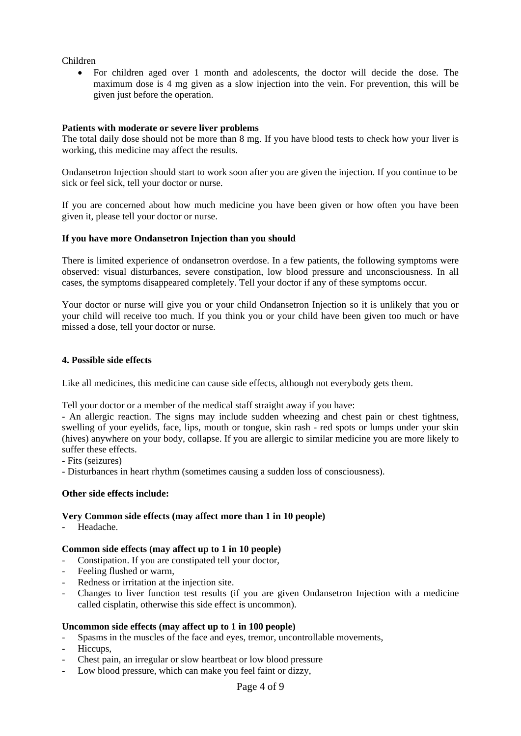Children

• For children aged over 1 month and adolescents, the doctor will decide the dose. The maximum dose is 4 mg given as a slow injection into the vein. For prevention, this will be given just before the operation.

## **Patients with moderate or severe liver problems**

The total daily dose should not be more than 8 mg. If you have blood tests to check how your liver is working, this medicine may affect the results.

Ondansetron Injection should start to work soon after you are given the injection. If you continue to be sick or feel sick, tell your doctor or nurse.

If you are concerned about how much medicine you have been given or how often you have been given it, please tell your doctor or nurse.

#### **If you have more Ondansetron Injection than you should**

There is limited experience of ondansetron overdose. In a few patients, the following symptoms were observed: visual disturbances, severe constipation, low blood pressure and unconsciousness. In all cases, the symptoms disappeared completely. Tell your doctor if any of these symptoms occur.

Your doctor or nurse will give you or your child Ondansetron Injection so it is unlikely that you or your child will receive too much. If you think you or your child have been given too much or have missed a dose, tell your doctor or nurse.

#### **4. Possible side effects**

Like all medicines, this medicine can cause side effects, although not everybody gets them.

Tell your doctor or a member of the medical staff straight away if you have:

- An allergic reaction. The signs may include sudden wheezing and chest pain or chest tightness, swelling of your eyelids, face, lips, mouth or tongue, skin rash - red spots or lumps under your skin (hives) anywhere on your body, collapse. If you are allergic to similar medicine you are more likely to suffer these effects.

- Fits (seizures)

- Disturbances in heart rhythm (sometimes causing a sudden loss of consciousness).

#### **Other side effects include:**

## **Very Common side effects (may affect more than 1 in 10 people)**

- Headache.

#### **Common side effects (may affect up to 1 in 10 people)**

- Constipation. If you are constipated tell your doctor,
- Feeling flushed or warm.
- Redness or irritation at the injection site.
- Changes to liver function test results (if you are given Ondansetron Injection with a medicine called cisplatin, otherwise this side effect is uncommon).

#### **Uncommon side effects (may affect up to 1 in 100 people)**

- Spasms in the muscles of the face and eyes, tremor, uncontrollable movements,
- Hiccups,
- Chest pain, an irregular or slow heartbeat or low blood pressure
- Low blood pressure, which can make you feel faint or dizzy,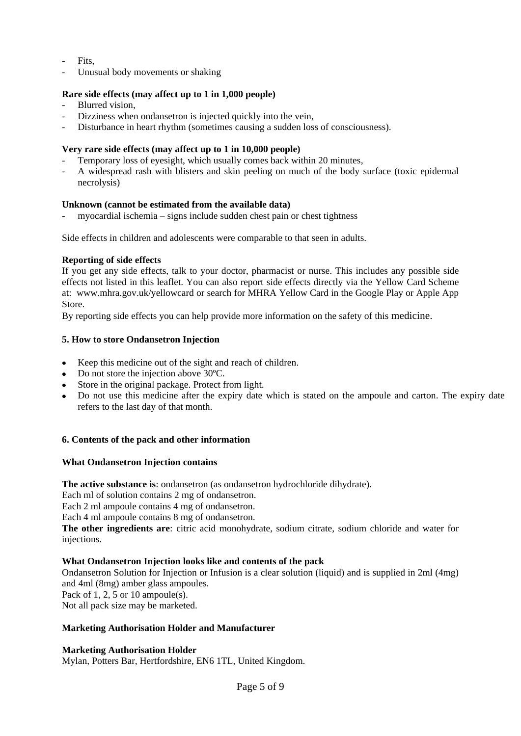- Fits.
- Unusual body movements or shaking

## **Rare side effects (may affect up to 1 in 1,000 people)**

- Blurred vision.
- Dizziness when ondansetron is injected quickly into the vein,
- Disturbance in heart rhythm (sometimes causing a sudden loss of consciousness).

## **Very rare side effects (may affect up to 1 in 10,000 people)**

- Temporary loss of eyesight, which usually comes back within 20 minutes,
- A widespread rash with blisters and skin peeling on much of the body surface (toxic epidermal necrolysis)

## **Unknown (cannot be estimated from the available data)**

- myocardial ischemia – signs include sudden chest pain or chest tightness

Side effects in children and adolescents were comparable to that seen in adults.

## **Reporting of side effects**

If you get any side effects, talk to your doctor, pharmacist or nurse. This includes any possible side effects not listed in this leaflet. You can also report side effects directly via the Yellow Card Scheme at: www.mhra.gov.uk/yellowcard or search for MHRA Yellow Card in the Google Play or Apple App Store.

By reporting side effects you can help provide more information on the safety of this medicine.

## **5. How to store Ondansetron Injection**

- Keep this medicine out of the sight and reach of children.
- Do not store the injection above 30°C.
- Store in the original package. Protect from light.
- Do not use this medicine after the expiry date which is stated on the ampoule and carton. The expiry date refers to the last day of that month.

#### **6. Contents of the pack and other information**

#### **What Ondansetron Injection contains**

**The active substance is**: ondansetron (as ondansetron hydrochloride dihydrate).

Each ml of solution contains 2 mg of ondansetron.

Each 2 ml ampoule contains 4 mg of ondansetron.

Each 4 ml ampoule contains 8 mg of ondansetron.

**The other ingredients are**: citric acid monohydrate, sodium citrate, sodium chloride and water for injections.

#### **What Ondansetron Injection looks like and contents of the pack**

Ondansetron Solution for Injection or Infusion is a clear solution (liquid) and is supplied in 2ml (4mg) and 4ml (8mg) amber glass ampoules. Pack of 1, 2, 5 or 10 ampoule(s).

Not all pack size may be marketed.

#### **Marketing Authorisation Holder and Manufacturer**

#### **Marketing Authorisation Holder**

Mylan, Potters Bar, Hertfordshire, EN6 1TL, United Kingdom.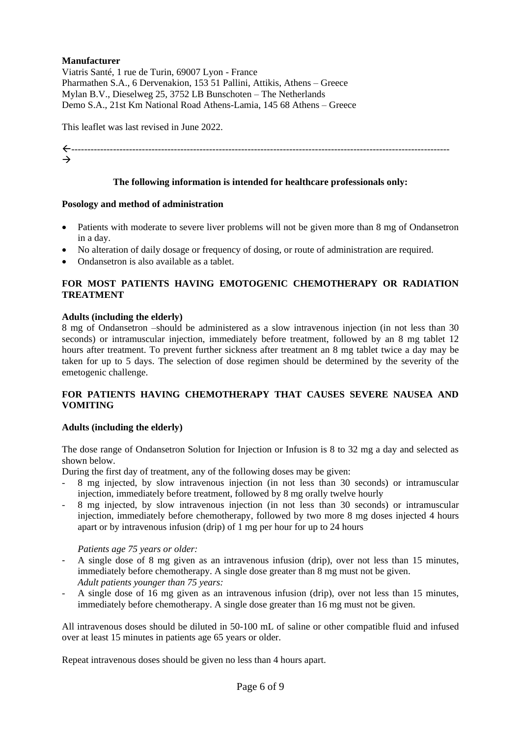## **Manufacturer**

Viatris Santé, 1 rue de Turin, 69007 Lyon - France Pharmathen S.A., 6 Dervenakion, 153 51 Pallini, Attikis, Athens – Greece Mylan B.V., Dieselweg 25, 3752 LB Bunschoten – The Netherlands Demo S.A., 21st Km National Road Athens-Lamia, 145 68 Athens – Greece

This leaflet was last revised in June 2022.

----------------------------------------------------------------------------------------------------------------------  $\rightarrow$ 

### **The following information is intended for healthcare professionals only:**

## **Posology and method of administration**

- Patients with moderate to severe liver problems will not be given more than 8 mg of Ondansetron in a day.
- No alteration of daily dosage or frequency of dosing, or route of administration are required.
- Ondansetron is also available as a tablet.

## **FOR MOST PATIENTS HAVING EMOTOGENIC CHEMOTHERAPY OR RADIATION TREATMENT**

## **Adults (including the elderly)**

8 mg of Ondansetron –should be administered as a slow intravenous injection (in not less than 30 seconds) or intramuscular injection, immediately before treatment, followed by an 8 mg tablet 12 hours after treatment. To prevent further sickness after treatment an 8 mg tablet twice a day may be taken for up to 5 days. The selection of dose regimen should be determined by the severity of the emetogenic challenge.

## **FOR PATIENTS HAVING CHEMOTHERAPY THAT CAUSES SEVERE NAUSEA AND VOMITING**

#### **Adults (including the elderly)**

The dose range of Ondansetron Solution for Injection or Infusion is 8 to 32 mg a day and selected as shown below.

During the first day of treatment, any of the following doses may be given:

- 8 mg injected, by slow intravenous injection (in not less than 30 seconds) or intramuscular injection, immediately before treatment, followed by 8 mg orally twelve hourly
- 8 mg injected, by slow intravenous injection (in not less than 30 seconds) or intramuscular injection, immediately before chemotherapy, followed by two more 8 mg doses injected 4 hours apart or by intravenous infusion (drip) of 1 mg per hour for up to 24 hours

#### *Patients age 75 years or older:*

- A single dose of 8 mg given as an intravenous infusion (drip), over not less than 15 minutes, immediately before chemotherapy. A single dose greater than 8 mg must not be given. *Adult patients younger than 75 years:*
- A single dose of 16 mg given as an intravenous infusion (drip), over not less than 15 minutes, immediately before chemotherapy. A single dose greater than 16 mg must not be given.

All intravenous doses should be diluted in 50-100 mL of saline or other compatible fluid and infused over at least 15 minutes in patients age 65 years or older.

Repeat intravenous doses should be given no less than 4 hours apart.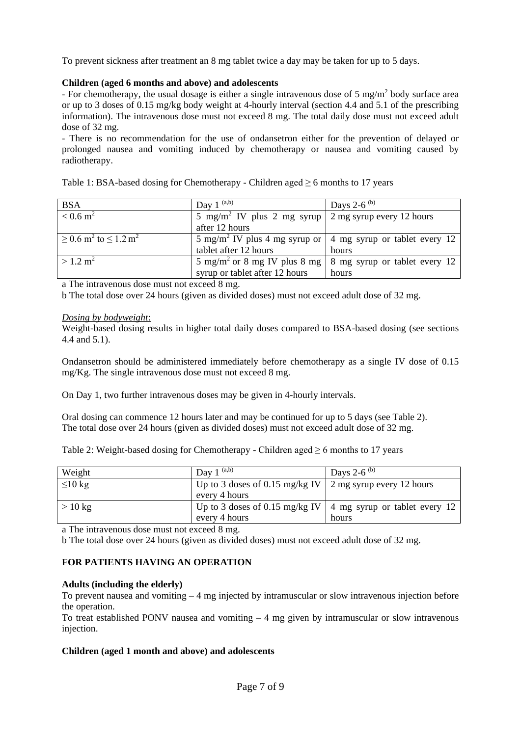To prevent sickness after treatment an 8 mg tablet twice a day may be taken for up to 5 days.

## **Children (aged 6 months and above) and adolescents**

- For chemotherapy, the usual dosage is either a single intravenous dose of 5 mg/m<sup>2</sup> body surface area or up to 3 doses of 0.15 mg/kg body weight at 4-hourly interval (section 4.4 and 5.1 of the prescribing information). The intravenous dose must not exceed 8 mg. The total daily dose must not exceed adult dose of 32 mg.

- There is no recommendation for the use of ondansetron either for the prevention of delayed or prolonged nausea and vomiting induced by chemotherapy or nausea and vomiting caused by radiotherapy.

|  | Table 1: BSA-based dosing for Chemotherapy - Children aged $\geq 6$ months to 17 years |  |  |  |
|--|----------------------------------------------------------------------------------------|--|--|--|
|  |                                                                                        |  |  |  |
|  |                                                                                        |  |  |  |

| BSA                                                    | Day 1 $(a,b)$                                                                   | Days 2-6 <sup>(b)</sup>       |
|--------------------------------------------------------|---------------------------------------------------------------------------------|-------------------------------|
| $< 0.6 \,\mathrm{m}^2$                                 | 5 mg/m <sup>2</sup> IV plus 2 mg syrup $\vert$ 2 mg syrup every 12 hours        |                               |
|                                                        | after 12 hours                                                                  |                               |
| $\geq$ 0.6 m <sup>2</sup> to $\leq$ 1.2 m <sup>2</sup> | 5 mg/m <sup>2</sup> IV plus 4 mg syrup or $\vert$ 4 mg syrup or tablet every 12 |                               |
|                                                        | tablet after 12 hours                                                           | hours                         |
| $>1.2 \text{ m}^2$                                     | 5 mg/m <sup>2</sup> or 8 mg IV plus 8 mg                                        | 8 mg syrup or tablet every 12 |
|                                                        | syrup or tablet after 12 hours                                                  | hours                         |

a The intravenous dose must not exceed 8 mg.

b The total dose over 24 hours (given as divided doses) must not exceed adult dose of 32 mg.

## *Dosing by bodyweight*:

Weight-based dosing results in higher total daily doses compared to BSA-based dosing (see sections 4.4 and 5.1).

Ondansetron should be administered immediately before chemotherapy as a single IV dose of 0.15 mg/Kg. The single intravenous dose must not exceed 8 mg.

On Day 1, two further intravenous doses may be given in 4-hourly intervals.

Oral dosing can commence 12 hours later and may be continued for up to 5 days (see Table 2). The total dose over 24 hours (given as divided doses) must not exceed adult dose of 32 mg.

Table 2: Weight-based dosing for Chemotherapy - Children aged  $\geq 6$  months to 17 years

| Weight           | Day $1^{(a,b)}$                                            | Days 2-6 <sup>(b)</sup>                                        |
|------------------|------------------------------------------------------------|----------------------------------------------------------------|
| $\leq 10$ kg     | Up to 3 doses of 0.15 mg/kg IV   2 mg syrup every 12 hours |                                                                |
|                  | every 4 hours                                              |                                                                |
| $>10 \text{ kg}$ |                                                            | Up to 3 doses of 0.15 mg/kg IV   4 mg syrup or tablet every 12 |
|                  | every 4 hours                                              | hours                                                          |

a The intravenous dose must not exceed 8 mg.

b The total dose over 24 hours (given as divided doses) must not exceed adult dose of 32 mg.

# **FOR PATIENTS HAVING AN OPERATION**

## **Adults (including the elderly)**

To prevent nausea and vomiting  $-4$  mg injected by intramuscular or slow intravenous injection before the operation.

To treat established PONV nausea and vomiting  $-4$  mg given by intramuscular or slow intravenous injection.

## **Children (aged 1 month and above) and adolescents**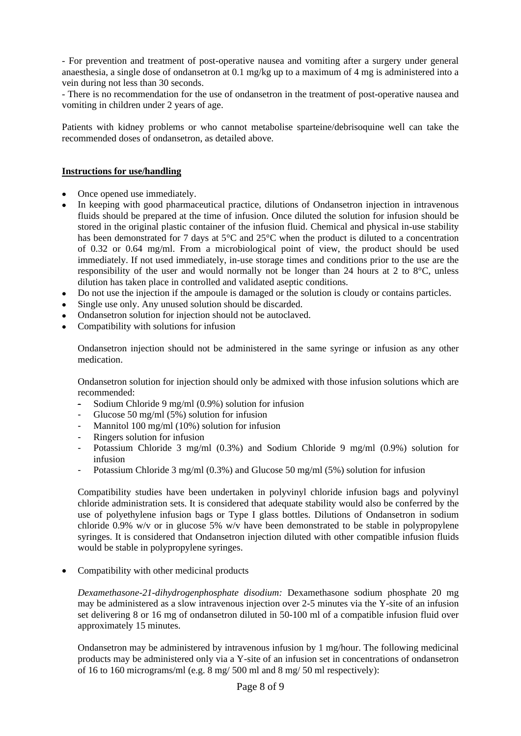- For prevention and treatment of post-operative nausea and vomiting after a surgery under general anaesthesia, a single dose of ondansetron at 0.1 mg/kg up to a maximum of 4 mg is administered into a vein during not less than 30 seconds.

- There is no recommendation for the use of ondansetron in the treatment of post-operative nausea and vomiting in children under 2 years of age.

Patients with kidney problems or who cannot metabolise sparteine/debrisoquine well can take the recommended doses of ondansetron, as detailed above.

### **Instructions for use/handling**

- Once opened use immediately.
- In keeping with good pharmaceutical practice, dilutions of Ondansetron injection in intravenous fluids should be prepared at the time of infusion. Once diluted the solution for infusion should be stored in the original plastic container of the infusion fluid. Chemical and physical in-use stability has been demonstrated for 7 days at 5<sup>o</sup>C and 25<sup>o</sup>C when the product is diluted to a concentration of 0.32 or 0.64 mg/ml. From a microbiological point of view, the product should be used immediately. If not used immediately, in-use storage times and conditions prior to the use are the responsibility of the user and would normally not be longer than 24 hours at 2 to 8°C, unless dilution has taken place in controlled and validated aseptic conditions.
- Do not use the injection if the ampoule is damaged or the solution is cloudy or contains particles.
- Single use only. Any unused solution should be discarded.
- Ondansetron solution for injection should not be autoclaved.
- Compatibility with solutions for infusion

Ondansetron injection should not be administered in the same syringe or infusion as any other medication.

Ondansetron solution for injection should only be admixed with those infusion solutions which are recommended:

- Sodium Chloride 9 mg/ml (0.9%) solution for infusion
- Glucose 50 mg/ml  $(5\%)$  solution for infusion
- Mannitol 100 mg/ml  $(10\%)$  solution for infusion
- Ringers solution for infusion
- Potassium Chloride 3 mg/ml (0.3%) and Sodium Chloride 9 mg/ml (0.9%) solution for infusion
- Potassium Chloride 3 mg/ml (0.3%) and Glucose 50 mg/ml (5%) solution for infusion

Compatibility studies have been undertaken in polyvinyl chloride infusion bags and polyvinyl chloride administration sets. It is considered that adequate stability would also be conferred by the use of polyethylene infusion bags or Type I glass bottles. Dilutions of Ondansetron in sodium chloride 0.9% w/v or in glucose 5% w/v have been demonstrated to be stable in polypropylene syringes. It is considered that Ondansetron injection diluted with other compatible infusion fluids would be stable in polypropylene syringes.

• Compatibility with other medicinal products

*Dexamethasone-21-dihydrogenphosphate disodium:* Dexamethasone sodium phosphate 20 mg may be administered as a slow intravenous injection over 2-5 minutes via the Y-site of an infusion set delivering 8 or 16 mg of ondansetron diluted in 50-100 ml of a compatible infusion fluid over approximately 15 minutes.

Ondansetron may be administered by intravenous infusion by 1 mg/hour. The following medicinal products may be administered only via a Y-site of an infusion set in concentrations of ondansetron of 16 to 160 micrograms/ml (e.g. 8 mg/ 500 ml and 8 mg/ 50 ml respectively):